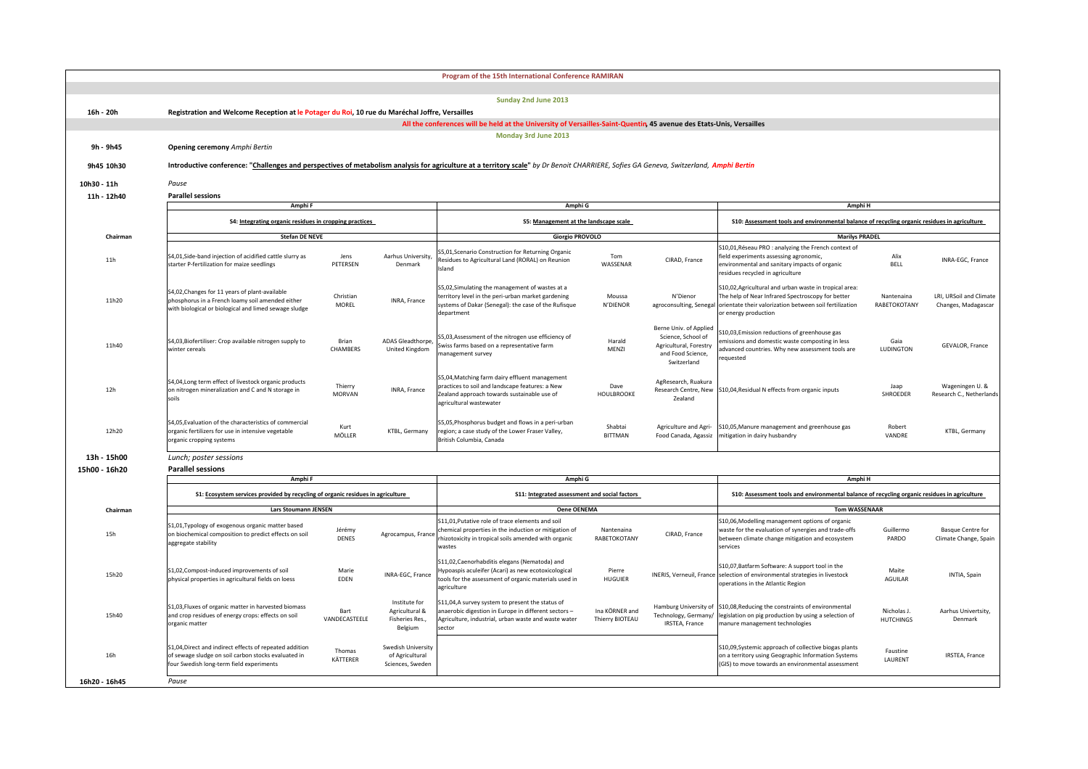|               |                                                                                                                                                                                        |                          |                                                               | Program of the 15th International Conference RAMIRAN                                                                                                                         |                                   |                                                                                                            |                                                                                                                                                                                                |                                                                                              |                                                      |  |  |
|---------------|----------------------------------------------------------------------------------------------------------------------------------------------------------------------------------------|--------------------------|---------------------------------------------------------------|------------------------------------------------------------------------------------------------------------------------------------------------------------------------------|-----------------------------------|------------------------------------------------------------------------------------------------------------|------------------------------------------------------------------------------------------------------------------------------------------------------------------------------------------------|----------------------------------------------------------------------------------------------|------------------------------------------------------|--|--|
|               |                                                                                                                                                                                        |                          |                                                               | Sunday 2nd June 2013                                                                                                                                                         |                                   |                                                                                                            |                                                                                                                                                                                                |                                                                                              |                                                      |  |  |
| 16h - 20h     | Registration and Welcome Reception at le Potager du Roi, 10 rue du Maréchal Joffre, Versailles                                                                                         |                          |                                                               |                                                                                                                                                                              |                                   |                                                                                                            |                                                                                                                                                                                                |                                                                                              |                                                      |  |  |
|               | All the conferences will be held at the University of Versailles-Saint-Quentin, 45 avenue des Etats-Unis, Versailles                                                                   |                          |                                                               |                                                                                                                                                                              |                                   |                                                                                                            |                                                                                                                                                                                                |                                                                                              |                                                      |  |  |
|               |                                                                                                                                                                                        |                          |                                                               | Monday 3rd June 2013                                                                                                                                                         |                                   |                                                                                                            |                                                                                                                                                                                                |                                                                                              |                                                      |  |  |
| 9h - 9h45     | <b>Opening ceremony Amphi Bertin</b>                                                                                                                                                   |                          |                                                               |                                                                                                                                                                              |                                   |                                                                                                            |                                                                                                                                                                                                |                                                                                              |                                                      |  |  |
| 9h45 10h30    | Introductive conference: "Challenges and perspectives of metabolism analysis for agriculture at a territory scale" by Dr Benoit CHARRIERE, Sofies GA Geneva, Switzerland, Amphi Bertin |                          |                                                               |                                                                                                                                                                              |                                   |                                                                                                            |                                                                                                                                                                                                |                                                                                              |                                                      |  |  |
| 10h30 - 11h   | Pause                                                                                                                                                                                  |                          |                                                               |                                                                                                                                                                              |                                   |                                                                                                            |                                                                                                                                                                                                |                                                                                              |                                                      |  |  |
| 11h - 12h40   | <b>Parallel sessions</b>                                                                                                                                                               |                          |                                                               |                                                                                                                                                                              |                                   |                                                                                                            |                                                                                                                                                                                                |                                                                                              |                                                      |  |  |
|               | Amphi F                                                                                                                                                                                |                          | Amphi G                                                       |                                                                                                                                                                              |                                   | Amphi H                                                                                                    |                                                                                                                                                                                                |                                                                                              |                                                      |  |  |
|               | S4: Integrating organic residues in cropping practices                                                                                                                                 |                          |                                                               | S5: Management at the landscape scale<br><b>Giorgio PROVOLO</b>                                                                                                              |                                   |                                                                                                            | S10: Assessment tools and environmental balance of recycling organic residues in agriculture                                                                                                   |                                                                                              |                                                      |  |  |
| Chairman      | <b>Stefan DE NEVE</b>                                                                                                                                                                  |                          |                                                               |                                                                                                                                                                              |                                   |                                                                                                            | <b>Marilys PRADEL</b>                                                                                                                                                                          |                                                                                              |                                                      |  |  |
| 11h           | S4,01, Side-band injection of acidified cattle slurry as<br>starter P-fertilization for maize seedlings                                                                                | Jens<br>PETERSEN         | Aarhus University,<br>Denmark                                 | S5,01, Scenario Construction for Returning Organic<br>Residues to Agricultural Land (RORAL) on Reunion<br>Island                                                             | Tom<br>WASSENAR                   | CIRAD, France                                                                                              | S10,01, Réseau PRO : analyzing the French context of<br>field experiments assessing agronomic,<br>environmental and sanitary impacts of organic<br>residues recycled in agriculture            | Alix<br><b>BELL</b>                                                                          | INRA-EGC, France                                     |  |  |
| 11h20         | S4.02. Changes for 11 years of plant-available<br>phosphorus in a French loamy soil amended either<br>with biological or biological and limed sewage sludge                            | Christian<br>MOREL       | INRA, France                                                  | S5,02, Simulating the management of wastes at a<br>territory level in the peri-urban market gardening<br>systems of Dakar (Senegal): the case of the Rufisque<br>department  | Moussa<br>N'DIENOR                | N'Dienor<br>agroconsulting, Senegal                                                                        | S10,02, Agricultural and urban waste in tropical area:<br>The help of Near Infrared Spectroscopy for better<br>orientate their valorization between soil fertilization<br>or energy production | Nantenaina<br>RABETOKOTANY                                                                   | <b>LRL URSoil and Climate</b><br>Changes, Madagascar |  |  |
| 11h40         | S4,03, Biofertiliser: Crop available nitrogen supply to<br>vinter cereals                                                                                                              | Brian<br>CHAMBERS        | <b>ADAS Gleadthorpe</b><br>United Kingdom                     | S5,03,Assessment of the nitrogen use efficiency of<br>wiss farms based on a representative farm<br>nanagement survey                                                         | Harald<br>MENZI                   | Berne Univ. of Applied<br>Science, School of<br>Agricultural, Forestry<br>and Food Science,<br>Switzerland | S10,03, Emission reductions of greenhouse gas<br>missions and domestic waste composting in less<br>advanced countries. Why new assessment tools are<br>equested                                | Gaia<br>LUDINGTON                                                                            | GEVALOR, France                                      |  |  |
| 12h           | S4,04, Long term effect of livestock organic products<br>on nitrogen mineralization and C and N storage in<br>snils                                                                    | Thierry<br><b>MORVAN</b> | INRA, France                                                  | S5,04, Matching farm dairy effluent management<br>practices to soil and landscape features: a New<br>Zealand approach towards sustainable use of<br>agricultural wastewater  | Dave<br><b>HOULBROOKE</b>         | AgResearch, Ruakura<br>Research Centre, New<br>Zealand                                                     | S10,04, Residual N effects from organic inputs                                                                                                                                                 | Jaap<br>SHROEDER                                                                             | Wageningen U. &<br>Research C., Netherlands          |  |  |
| 12h20         | S4,05, Evaluation of the characteristics of commercial<br>organic fertilizers for use in intensive vegetable<br>organic cropping systems                                               | Kurt<br>MÖLLER           | KTBL, Germany                                                 | S5,05, Phosphorus budget and flows in a peri-urban<br>region; a case study of the Lower Fraser Valley,<br>British Columbia, Canada                                           | Shabtai<br><b>BITTMAN</b>         | Agriculture and Agri-<br>Food Canada, Agassiz                                                              | S10,05, Manure management and greenhouse gas<br>mitigation in dairy husbandry                                                                                                                  | Robert<br>VANDRE                                                                             | KTBL, Germany                                        |  |  |
| 13h - 15h00   | Lunch; poster sessions                                                                                                                                                                 |                          |                                                               |                                                                                                                                                                              |                                   |                                                                                                            |                                                                                                                                                                                                |                                                                                              |                                                      |  |  |
| 15h00 - 16h20 | <b>Parallel sessions</b>                                                                                                                                                               |                          |                                                               |                                                                                                                                                                              |                                   |                                                                                                            |                                                                                                                                                                                                |                                                                                              |                                                      |  |  |
|               | Amphi F                                                                                                                                                                                |                          |                                                               | Amphi G                                                                                                                                                                      |                                   |                                                                                                            | Amphi H                                                                                                                                                                                        |                                                                                              |                                                      |  |  |
|               | S1: Ecosystem services provided by recycling of organic residues in agriculture                                                                                                        |                          |                                                               | S11: Integrated assessment and social factors                                                                                                                                |                                   |                                                                                                            |                                                                                                                                                                                                | S10: Assessment tools and environmental balance of recycling organic residues in agriculture |                                                      |  |  |
| Chairman      | Lars Stoumann JENSEN                                                                                                                                                                   |                          |                                                               | <b>Oene OENEMA</b>                                                                                                                                                           |                                   |                                                                                                            | <b>Tom WASSENAAR</b>                                                                                                                                                                           |                                                                                              |                                                      |  |  |
| 15h           | S1,01, Typology of exogenous organic matter based<br>on biochemical composition to predict effects on soil<br>aggregate stability                                                      | Jérémy<br>DENES          | Agrocampus, France                                            | \$11,01, Putative role of trace elements and soil<br>chemical properties in the induction or mitigation of<br>hizotoxicity in tropical soils amended with organic<br>wastes  | Nantenaina<br>RABETOKOTANY        | CIRAD, France                                                                                              | S10,06, Modelling management options of organic<br>waste for the evaluation of synergies and trade-offs<br>between climate change mitigation and ecosystem<br>services                         | Guillermo<br>PARDO                                                                           | <b>Basque Centre for</b><br>Climate Change, Spain    |  |  |
| 15h20         | S1,02, Compost-induced improvements of soil<br>physical properties in agricultural fields on loess                                                                                     | Marie<br>EDEN            | INRA-EGC, France                                              | S11,02, Caenorhabditis elegans (Nematoda) and<br>lypoaspis aculeifer (Acari) as new ecotoxicological<br>tools for the assessment of organic materials used in<br>agriculture | Pierre<br><b>HUGUIER</b>          | INERIS, Verneuil, France                                                                                   | S10,07, Batfarm Software: A support tool in the<br>selection of environmental strategies in livestock<br>operations in the Atlantic Region                                                     | Maite<br>AGUILAR                                                                             | INTIA, Spain                                         |  |  |
| 15h40         | S1,03, Fluxes of organic matter in harvested biomass<br>and crop residues of energy crops: effects on soil<br>organic matter                                                           | Bart<br>VANDECASTEELE    | Institute for<br>Agricultural &<br>Fisheries Res.,<br>Belgium | S11,04,A survey system to present the status of<br>anaerobic digestion in Europe in different sectors-<br>Agriculture, industrial, urban waste and waste water<br>sector     | Ina KÖRNER and<br>Thierry BIOTEAU | Hamburg University of<br>Technology, Germany/<br>IRSTEA, France                                            | S10,08, Reducing the constraints of environmental<br>legislation on pig production by using a selection of<br>manure management technologies                                                   | Nicholas J.<br><b>HUTCHINGS</b>                                                              | Aarhus Univertsity,<br>Denmark                       |  |  |
|               | S1,04, Direct and indirect effects of repeated addition<br>of sewage sludge on soil carbon stocks evaluated in                                                                         | Thomas                   | Swedish University<br>of Agricultural                         |                                                                                                                                                                              |                                   |                                                                                                            | S10,09, Systemic approach of collective biogas plants<br>on a territory using Geographic Information Systems                                                                                   | Faustine<br>LAURENT                                                                          | IRSTEA, France                                       |  |  |
| 16h           | four Swedish long-term field experiments                                                                                                                                               | KÄTTERER                 | Sciences, Sweden                                              |                                                                                                                                                                              |                                   |                                                                                                            | (GIS) to move towards an environmental assessment                                                                                                                                              |                                                                                              |                                                      |  |  |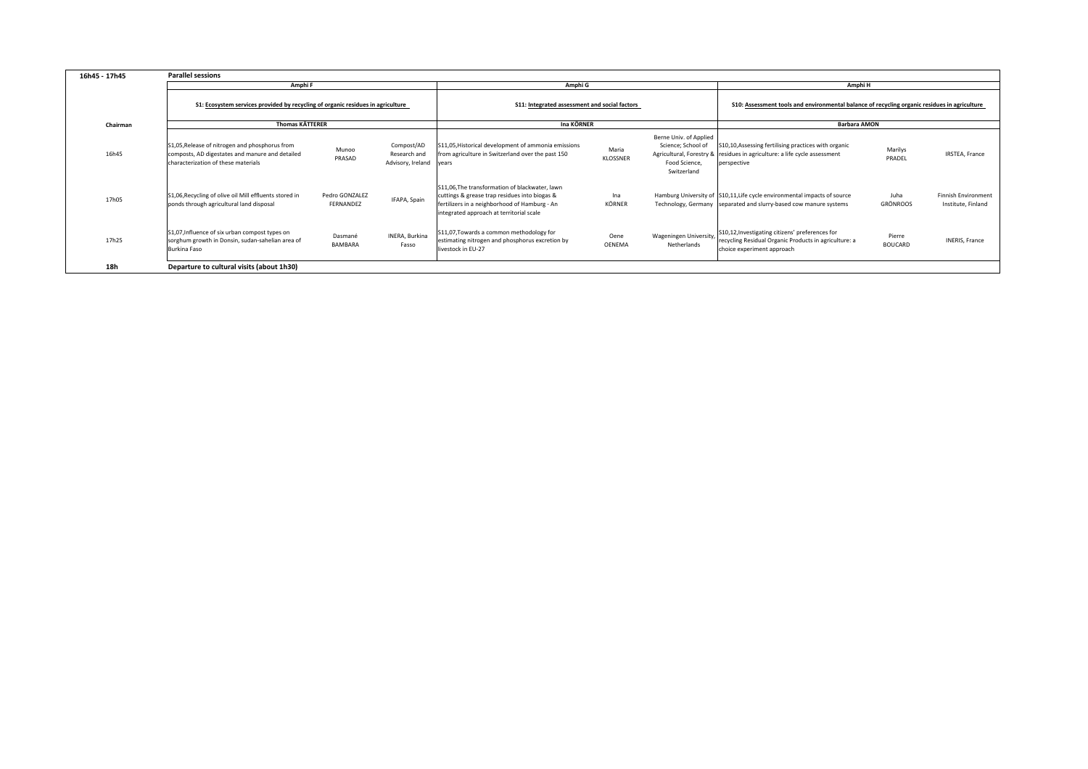| 16h45 - 17h45 | <b>Parallel sessions</b>                                                                                                                 |                             |                                                 |                                                                                                                                                                                              |                       |                                                                              |                                                                                                                                                  |                          |                                                  |  |
|---------------|------------------------------------------------------------------------------------------------------------------------------------------|-----------------------------|-------------------------------------------------|----------------------------------------------------------------------------------------------------------------------------------------------------------------------------------------------|-----------------------|------------------------------------------------------------------------------|--------------------------------------------------------------------------------------------------------------------------------------------------|--------------------------|--------------------------------------------------|--|
|               | Amphi F                                                                                                                                  |                             |                                                 | Amphi G                                                                                                                                                                                      |                       |                                                                              | Amphi H                                                                                                                                          |                          |                                                  |  |
|               | S1: Ecosystem services provided by recycling of organic residues in agriculture                                                          |                             |                                                 | S11: Integrated assessment and social factors                                                                                                                                                |                       |                                                                              | S10: Assessment tools and environmental balance of recycling organic residues in agriculture                                                     |                          |                                                  |  |
| Chairman      | <b>Thomas KÄTTERER</b>                                                                                                                   |                             |                                                 | Ina KÖRNER                                                                                                                                                                                   |                       |                                                                              | <b>Barbara AMON</b>                                                                                                                              |                          |                                                  |  |
| 16h45         | S1,05, Release of nitrogen and phosphorus from<br>composts, AD digestates and manure and detailed<br>characterization of these materials | Munoo<br>PRASAD             | Compost/AD<br>Research and<br>Advisory, Ireland | S11,05, Historical development of ammonia emissions<br>from agriculture in Switzerland over the past 150<br>vears                                                                            | Maria<br>KLOSSNER     | Berne Univ. of Applied<br>Science; School of<br>Food Science,<br>Switzerland | S10,10, Assessing fertilising practices with organic<br>Agricultural, Forestry & residues in agriculture: a life cycle assessment<br>perspective | Marilys<br>PRADEL        | IRSTEA, France                                   |  |
| 17h05         | S1,06, Recycling of olive oil Mill effluents stored in<br>ponds through agricultural land disposal                                       | Pedro GONZALEZ<br>FERNANDEZ | IFAPA, Spain                                    | S11,06, The transformation of blackwater, lawn<br>cuttings & grease trap residues into biogas &<br>fertilizers in a neighborhood of Hamburg - An<br>integrated approach at territorial scale | Ina<br>KÖRNER         |                                                                              | Hamburg University of S10,11, Life cycle environmental impacts of source<br>Technology, Germany separated and slurry-based cow manure systems    | Juha<br>GRÖNROOS         | <b>Finnish Environment</b><br>Institute, Finland |  |
| 17h25         | S1,07, Influence of six urban compost types on<br>sorghum growth in Donsin, sudan-sahelian area of<br>Burkina Faso                       | Dasmané<br><b>BAMBARA</b>   | INERA, Burkina<br>Fasso                         | S11,07, Towards a common methodology for<br>estimating nitrogen and phosphorus excretion by<br>livestock in EU-27                                                                            | Oene<br><b>OENEMA</b> | Wageningen University<br>Netherlands                                         | S10,12, Investigating citizens' preferences for<br>recycling Residual Organic Products in agriculture: a<br>choice experiment approach           | Pierre<br><b>BOUCARD</b> | INERIS, France                                   |  |
| 18h           | Departure to cultural visits (about 1h30)                                                                                                |                             |                                                 |                                                                                                                                                                                              |                       |                                                                              |                                                                                                                                                  |                          |                                                  |  |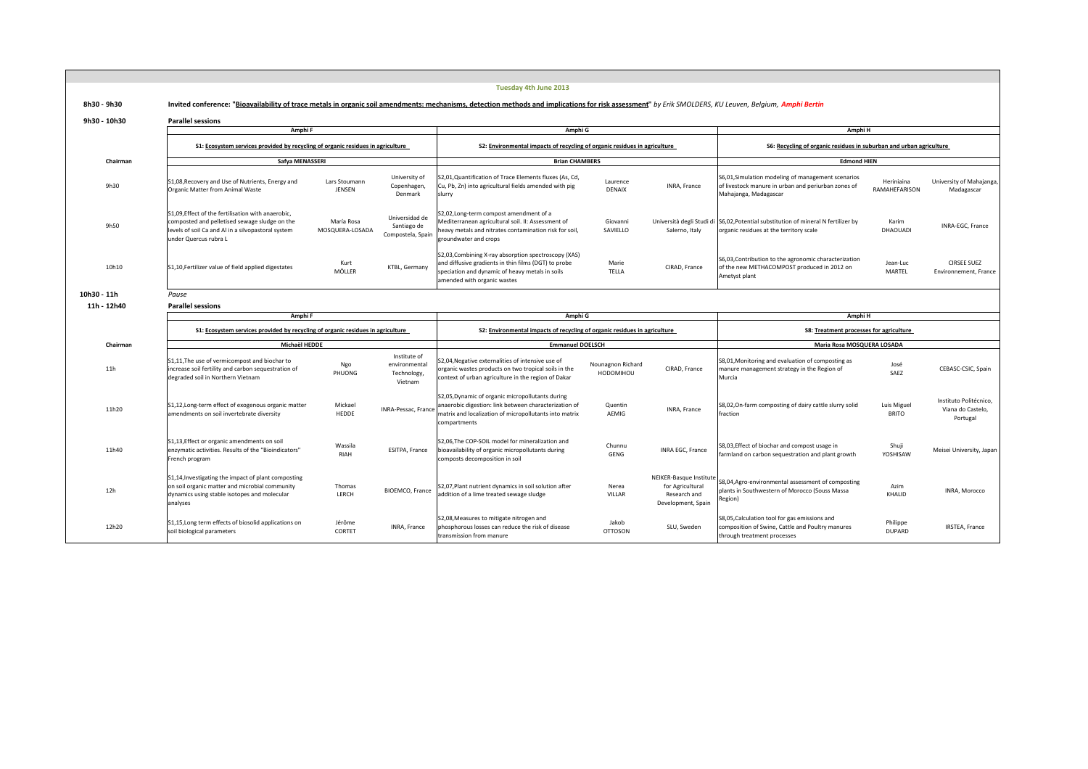|              |                                                                                                                                                                                    |                                |                                                         | Tuesday 4th June 2013                                                                                                                                                                                   |                                                                                                                      |                                                                                   |                                                                                                                                    |                             |                                                         |  |
|--------------|------------------------------------------------------------------------------------------------------------------------------------------------------------------------------------|--------------------------------|---------------------------------------------------------|---------------------------------------------------------------------------------------------------------------------------------------------------------------------------------------------------------|----------------------------------------------------------------------------------------------------------------------|-----------------------------------------------------------------------------------|------------------------------------------------------------------------------------------------------------------------------------|-----------------------------|---------------------------------------------------------|--|
| 8h30 - 9h30  |                                                                                                                                                                                    |                                |                                                         | Invited conference: "Bioavailability of trace metals in organic soil amendments: mechanisms, detection methods and implications for risk assessment" by Erik SMOLDERS, KU Leuven, Belgium, Amphi Bertin |                                                                                                                      |                                                                                   |                                                                                                                                    |                             |                                                         |  |
| 9h30 - 10h30 | <b>Parallel sessions</b>                                                                                                                                                           |                                |                                                         |                                                                                                                                                                                                         |                                                                                                                      |                                                                                   |                                                                                                                                    |                             |                                                         |  |
|              | Amphi F                                                                                                                                                                            |                                |                                                         | Amphi G                                                                                                                                                                                                 |                                                                                                                      |                                                                                   | Amphi H                                                                                                                            |                             |                                                         |  |
|              | S1: Ecosystem services provided by recycling of organic residues in agriculture                                                                                                    |                                |                                                         | S2: Environmental impacts of recycling of organic residues in agriculture                                                                                                                               |                                                                                                                      |                                                                                   | S6: Recycling of organic residues in suburban and urban agriculture                                                                |                             |                                                         |  |
| Chairman     | Safya MENASSERI                                                                                                                                                                    |                                |                                                         | <b>Brian CHAMBERS</b>                                                                                                                                                                                   |                                                                                                                      |                                                                                   | <b>Edmond HIEN</b>                                                                                                                 |                             |                                                         |  |
| 9h30         | S1,08, Recovery and Use of Nutrients, Energy and<br>Organic Matter from Animal Waste                                                                                               | Lars Stoumann<br><b>JENSEN</b> | University of<br>Copenhagen,<br>Denmark                 | S2,01,Quantification of Trace Elements fluxes (As, Cd,<br>Cu, Pb, Zn) into agricultural fields amended with pig<br>slurry                                                                               | Laurence<br><b>DENAIX</b>                                                                                            | INRA, France                                                                      | S6,01, Simulation modeling of management scenarios<br>of livestock manure in urban and periurban zones of<br>Mahajanga, Madagascar | Heriniaina<br>RAMAHEFARISON | University of Mahajanga,<br>Madagascar                  |  |
| 9h50         | S1.09. Effect of the fertilisation with anaerobic.<br>composted and pelletised sewage sludge on the<br>levels of soil Ca and Al in a silvopastoral system<br>under Quercus rubra L | María Rosa<br>MOSQUERA-LOSADA  | Universidad de<br>Santiago de<br>Compostela, Spain      | 52,02, Long-term compost amendment of a<br>Mediterranean agricultural soil. II: Assessment of<br>heavy metals and nitrates contamination risk for soil,<br>groundwater and crops                        | Giovanni<br>SAVIELLO                                                                                                 | Salerno, Italy                                                                    | Università degli Studi di S6,02, Potential substitution of mineral N fertilizer by<br>organic residues at the territory scale      | Karim<br>DHAOUADI           | INRA-EGC, France                                        |  |
| 10h10        | S1,10, Fertilizer value of field applied digestates                                                                                                                                | Kurt<br>MÖLLER                 | KTBL, Germany                                           | S2,03, Combining X-ray absorption spectroscopy (XAS)<br>and diffusive gradients in thin films (DGT) to probe<br>speciation and dynamic of heavy metals in soils<br>amended with organic wastes          | Marie<br>TELLA                                                                                                       | CIRAD, France                                                                     | S6,03, Contribution to the agronomic characterization<br>of the new METHACOMPOST produced in 2012 on<br>Ametyst plant              | Jean-Luc<br>MARTEL          | <b>CIRSEE SUEZ</b><br>Environnement, France             |  |
| 10h30 - 11h  | Pause                                                                                                                                                                              |                                |                                                         |                                                                                                                                                                                                         |                                                                                                                      |                                                                                   |                                                                                                                                    |                             |                                                         |  |
| 11h - 12h40  | <b>Parallel sessions</b>                                                                                                                                                           |                                |                                                         |                                                                                                                                                                                                         |                                                                                                                      |                                                                                   |                                                                                                                                    |                             |                                                         |  |
|              | Amphi F                                                                                                                                                                            |                                |                                                         | Amphi G                                                                                                                                                                                                 |                                                                                                                      |                                                                                   |                                                                                                                                    | Amphi H                     |                                                         |  |
|              | S1: Ecosystem services provided by recycling of organic residues in agriculture                                                                                                    |                                |                                                         |                                                                                                                                                                                                         | S2: Environmental impacts of recycling of organic residues in agriculture<br>S8: Treatment processes for agriculture |                                                                                   |                                                                                                                                    |                             |                                                         |  |
|              |                                                                                                                                                                                    |                                |                                                         |                                                                                                                                                                                                         |                                                                                                                      |                                                                                   |                                                                                                                                    |                             |                                                         |  |
| Chairman     | Michaël HEDDE                                                                                                                                                                      |                                |                                                         | <b>Emmanuel DOELSCH</b>                                                                                                                                                                                 |                                                                                                                      |                                                                                   | Maria Rosa MOSQUERA LOSADA                                                                                                         |                             |                                                         |  |
| 11h          | S1,11, The use of vermicompost and biochar to<br>increase soil fertility and carbon sequestration of<br>degraded soil in Northern Vietnam                                          | Ngo<br>PHUONG                  | Institute of<br>environmental<br>Technology,<br>Vietnam | 52,04, Negative externalities of intensive use of<br>organic wastes products on two tropical soils in the<br>context of urban agriculture in the region of Dakar                                        | Nounagnon Richard<br>HODOMIHOU                                                                                       | CIRAD, France                                                                     | S8,01, Monitoring and evaluation of composting as<br>manure management strategy in the Region of<br>Murcia                         | José<br>SAEZ                | CEBASC-CSIC, Spain                                      |  |
| 11h20        | S1,12, Long-term effect of exogenous organic matter<br>amendments on soil invertebrate diversity                                                                                   | Mickael<br>HEDDE               | INRA-Pessac, France                                     | S2,05, Dynamic of organic micropollutants during<br>anaerobic digestion: link between characterization of<br>matrix and localization of micropollutants into matrix<br>compartments                     | Quentin<br>AEMIG                                                                                                     | INRA, France                                                                      | S8,02, On-farm composting of dairy cattle slurry solid<br>fraction                                                                 | Luis Miguel<br><b>BRITO</b> | Instituto Politécnico,<br>Viana do Castelo.<br>Portugal |  |
| 11h40        | S1,13, Effect or organic amendments on soil<br>enzymatic activities. Results of the "Bioindicators"<br>French program                                                              | Wassila<br>RIAH                | ESITPA, France                                          | S2,06, The COP-SOIL model for mineralization and<br>bioavailability of organic micropollutants during<br>composts decomposition in soil                                                                 | Chunnu<br>GENG                                                                                                       | INRA EGC, France                                                                  | S8,03, Effect of biochar and compost usage in<br>farmland on carbon sequestration and plant growth                                 | Shuji<br>YOSHISAW           | Meisei University, Japan                                |  |
| 12h          | S1,14, Investigating the impact of plant composting<br>on soil organic matter and microbial community<br>dynamics using stable isotopes and molecular<br>analyses                  | Thomas<br>LERCH                | BIOEMCO, France                                         | 52,07, Plant nutrient dynamics in soil solution after<br>addition of a lime treated sewage sludge                                                                                                       | Nerea<br>VILLAR                                                                                                      | NEIKER-Basque Institute<br>for Agricultural<br>Research and<br>Development, Spain | S8,04, Agro-environmental assessment of composting<br>plants in Southwestern of Morocco (Souss Massa<br>Region)                    | Azim<br>KHALID              | INRA, Morocco                                           |  |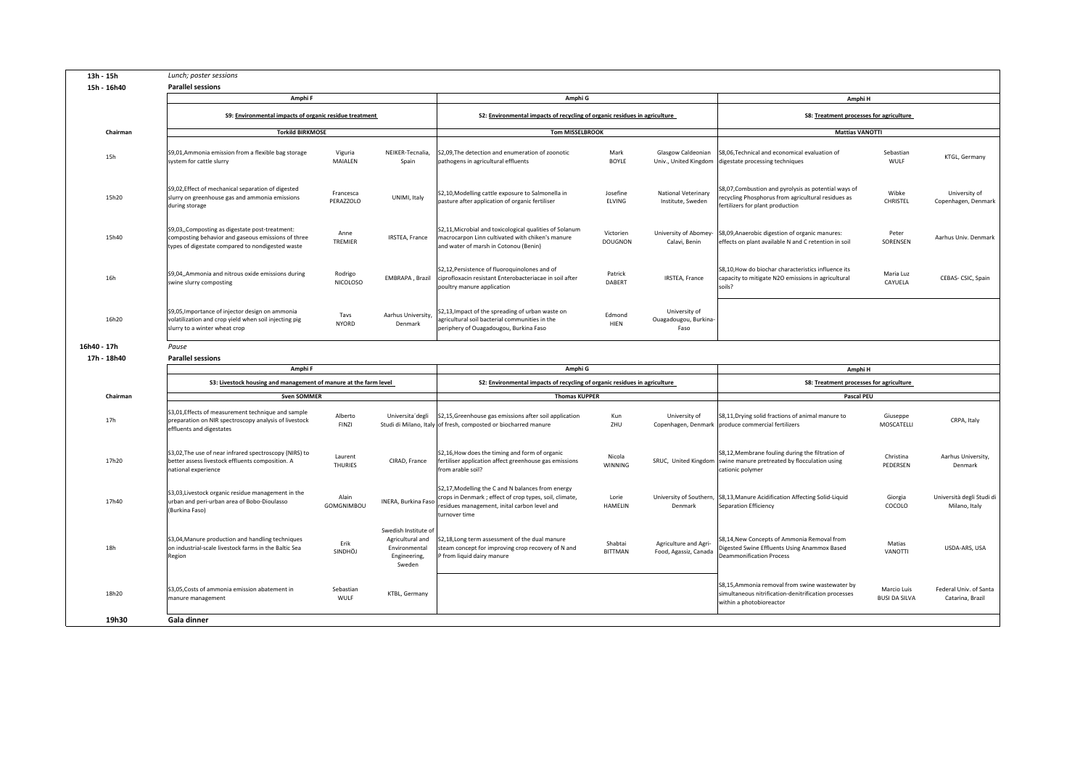|             | 13h - 15h | Lunch; poster sessions                                                                                                                                    |                            |                                                                                     |                                                                                                                                                                               |                             |                                                |                                                                                                                                               |                                     |                                            |
|-------------|-----------|-----------------------------------------------------------------------------------------------------------------------------------------------------------|----------------------------|-------------------------------------------------------------------------------------|-------------------------------------------------------------------------------------------------------------------------------------------------------------------------------|-----------------------------|------------------------------------------------|-----------------------------------------------------------------------------------------------------------------------------------------------|-------------------------------------|--------------------------------------------|
| 15h - 16h40 |           | <b>Parallel sessions</b>                                                                                                                                  |                            |                                                                                     |                                                                                                                                                                               |                             |                                                |                                                                                                                                               |                                     |                                            |
|             |           | Amphi F                                                                                                                                                   |                            |                                                                                     | Amphi G                                                                                                                                                                       |                             |                                                | Amphi H                                                                                                                                       |                                     |                                            |
|             |           | S9: Environmental impacts of organic residue treatment                                                                                                    |                            |                                                                                     | S2: Environmental impacts of recycling of organic residues in agriculture                                                                                                     |                             |                                                | S8: Treatment processes for agriculture                                                                                                       |                                     |                                            |
|             | Chairman  | <b>Torkild BIRKMOSE</b>                                                                                                                                   |                            |                                                                                     | <b>Tom MISSELBROOK</b>                                                                                                                                                        |                             |                                                | <b>Mattias VANOTTI</b>                                                                                                                        |                                     |                                            |
|             |           |                                                                                                                                                           |                            |                                                                                     |                                                                                                                                                                               |                             |                                                |                                                                                                                                               |                                     |                                            |
|             | 15h       | S9,01,Ammonia emission from a flexible bag storage<br>system for cattle slurry                                                                            | Viguria<br>MAIALEN         | NEIKER-Tecnalia,<br>Spain                                                           | S2,09, The detection and enumeration of zoonotic<br>pathogens in agricultural effluents                                                                                       | Mark<br>BOYLE               | Glasgow Caldeonian                             | S8,06, Technical and economical evaluation of<br>Univ., United Kingdom digestate processing techniques                                        | Sebastian<br>WULF                   | KTGL, Germany                              |
|             | 15h20     | S9,02, Effect of mechanical separation of digested<br>slurry on greenhouse gas and ammonia emissions<br>during storage                                    | Francesca<br>PERAZZOLO     | UNIMI, Italy                                                                        | S2,10, Modelling cattle exposure to Salmonella in<br>pasture after application of organic fertiliser                                                                          | Josefine<br>ELVING          | National Veterinary<br>Institute, Sweden       | S8,07, Combustion and pyrolysis as potential ways of<br>ecycling Phosphorus from agricultural residues as<br>fertilizers for plant production | Wibke<br>CHRISTEL                   | University of<br>Copenhagen, Denmark       |
|             | 15h40     | S9,03,, Composting as digestate post-treatment:<br>composting behavior and gaseous emissions of three<br>types of digestate compared to nondigested waste | Anne<br>TREMIER            | IRSTEA, France                                                                      | \$2,11, Microbial and toxicological qualities of Solanum<br>macrocarpon Linn cultivated with chiken's manure<br>and water of marsh in Cotonou (Benin)                         | Victorien<br><b>DOUGNON</b> | Calavi, Benin                                  | University of Abomey- S8,09, Anaerobic digestion of organic manures:<br>effects on plant available N and C retention in soil                  | Peter<br>SORENSEN                   | Aarhus Univ. Denmark                       |
|             | 16h       | S9,04,,Ammonia and nitrous oxide emissions during<br>swine slurry composting                                                                              | Rodrigo<br><b>NICOLOSO</b> | EMBRAPA, Brazil                                                                     | S2,12, Persistence of fluoroquinolones and of<br>ciprofloxacin resistant Enterobacteriacae in soil after<br>poultry manure application                                        | Patrick<br>DABERT           | IRSTEA, France                                 | S8,10,How do biochar characteristics influence its<br>capacity to mitigate N2O emissions in agricultural<br>soils?                            | Maria Luz<br>CAYUELA                | CEBAS- CSIC, Spain                         |
|             | 16h20     | S9,05, Importance of injector design on ammonia<br>volatilization and crop yield when soil injecting pig<br>slurry to a winter wheat crop                 | Tavs<br><b>NYORD</b>       | Aarhus University,<br>Denmark                                                       | S2,13, Impact of the spreading of urban waste on<br>agricultural soil bacterial communities in the<br>periphery of Ouagadougou, Burkina Faso                                  | Edmond<br>HIEN              | University of<br>Ouagadougou, Burkina-<br>Faso |                                                                                                                                               |                                     |                                            |
| 16h40 - 17h |           | Pause                                                                                                                                                     |                            |                                                                                     |                                                                                                                                                                               |                             |                                                |                                                                                                                                               |                                     |                                            |
| 17h - 18h40 |           | <b>Parallel sessions</b>                                                                                                                                  |                            |                                                                                     |                                                                                                                                                                               |                             |                                                |                                                                                                                                               |                                     |                                            |
|             |           |                                                                                                                                                           |                            |                                                                                     |                                                                                                                                                                               |                             |                                                |                                                                                                                                               |                                     |                                            |
|             |           | Amphi F                                                                                                                                                   |                            |                                                                                     | Amphi G                                                                                                                                                                       |                             |                                                | Amphi H                                                                                                                                       |                                     |                                            |
|             |           | S3: Livestock housing and management of manure at the farm level                                                                                          |                            |                                                                                     | S2: Environmental impacts of recycling of organic residues in agriculture                                                                                                     |                             |                                                | S8: Treatment processes for agriculture                                                                                                       |                                     |                                            |
|             | Chairman  | <b>Sven SOMMER</b>                                                                                                                                        |                            |                                                                                     | <b>Thomas KUPPER</b>                                                                                                                                                          |                             |                                                | Pascal PEU                                                                                                                                    |                                     |                                            |
|             | 17h       | S3,01, Effects of measurement technique and sample<br>preparation on NIR spectroscopy analysis of livestock<br>effluents and digestates                   | Alberto<br><b>FINZI</b>    | Universita'degli                                                                    | S2,15, Greenhouse gas emissions after soil application<br>Studi di Milano, Italy of fresh, composted or biocharred manure                                                     | Kun<br>ZHU                  | University of                                  | S8,11, Drying solid fractions of animal manure to<br>Copenhagen, Denmark produce commercial fertilizers                                       | Giuseppe<br>MOSCATELLI              | CRPA, Italy                                |
|             | 17h20     | S3,02, The use of near infrared spectroscopy (NIRS) to<br>better assess livestock effluents composition. A<br>national experience                         | Laurent<br><b>THURIES</b>  | CIRAD, France                                                                       | S2,16, How does the timing and form of organic<br>fertiliser application affect greenhouse gas emissions<br>from arable soil?                                                 | Nicola<br><b>WINNING</b>    |                                                | S8,12, Membrane fouling during the filtration of<br>SRUC, United Kingdom swine manure pretreated by flocculation using<br>cationic polymer    | Christina<br>PEDERSEN               | Aarhus University,<br>Denmark              |
|             | 17h40     | S3,03, Livestock organic residue management in the<br>urban and peri-urban area of Bobo-Dioulasso<br>(Burkina Faso)                                       | Alain<br>GOMGNIMBOU        | INERA, Burkina Faso                                                                 | S2,17, Modelling the C and N balances from energy<br>crops in Denmark ; effect of crop types, soil, climate,<br>residues management, inital carbon level and<br>turnover time | Lorie<br>HAMELIN            | Denmark                                        | University of Southern, S8,13, Manure Acidification Affecting Solid-Liquid<br>Separation Efficiency                                           | Giorgia<br>COCOLO                   | Università degli Studi di<br>Milano, Italy |
|             | 18h       | S3,04, Manure production and handling techniques<br>on industrial-scale livestock farms in the Baltic Sea<br>Region                                       | Erik<br>SINDHÖJ            | Swedish Institute of<br>Agricultural and<br>Environmental<br>Engineering,<br>Sweden | S2,18, Long term assessment of the dual manure<br>steam concept for improving crop recovery of N and<br>P from liquid dairy manure                                            | Shabtai<br><b>BITTMAN</b>   | Agriculture and Agri-<br>Food, Agassiz, Canada | S8,14, New Concepts of Ammonia Removal from<br>ligested Swine Effluents Using Anammox Based<br>Deammonification Process                       | Matias<br>VANOTTI                   | USDA-ARS, USA                              |
|             | 18h20     | S3,05, Costs of ammonia emission abatement in<br>manure management                                                                                        | Sebastian<br>WULF          | KTBL, Germany                                                                       |                                                                                                                                                                               |                             |                                                | S8,15,Ammonia removal from swine wastewater by<br>simultaneous nitrification-denitrification processes<br>within a photobioreactor            | Marcio Luis<br><b>BUSI DA SILVA</b> | Federal Univ. of Santa<br>Catarina, Brazil |